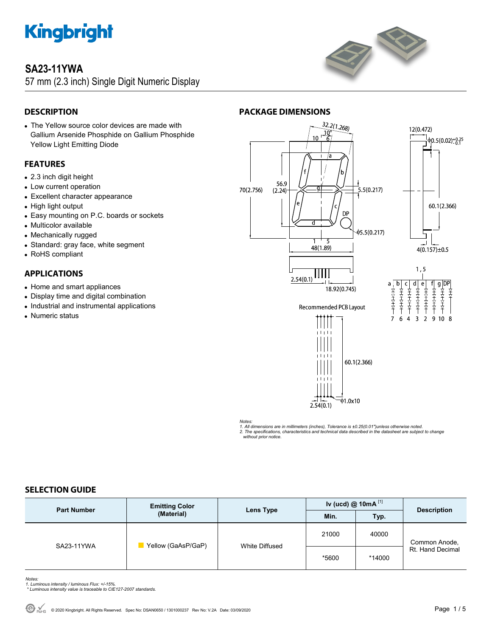

### **SA23-11YWA**

57 mm (2.3 inch) Single Digit Numeric Display



### **DESCRIPTION**

 The Yellow source color devices are made with Gallium Arsenide Phosphide on Gallium Phosphide Yellow Light Emitting Diode

### **FEATURES**

- 2.3 inch digit height
- Low current operation
- Excellent character appearance
- High light output
- Easy mounting on P.C. boards or sockets
- Multicolor available
- Mechanically rugged
- Standard: gray face, white segment
- RoHS compliant

### **APPLICATIONS**

- Home and smart appliances
- Display time and digital combination
- Industrial and instrumental applications
- Numeric status

### **PACKAGE DIMENSIONS**



*Notes:* 

*1. All dimensions are in millimeters (inches), Tolerance is ±0.25(0.01")unless otherwise noted.* 

*2. The specifications, characteristics and technical data described in the datasheet are subject to change without prior notice.* 

### **SELECTION GUIDE**

| <b>Part Number</b> | <b>Emitting Color</b><br>(Material) | Lens Type      | Iv (ucd) $@$ 10mA $^{[1]}$ |        | <b>Description</b>                |
|--------------------|-------------------------------------|----------------|----------------------------|--------|-----------------------------------|
|                    |                                     |                | Min.                       | Typ.   |                                   |
| SA23-11YWA         | Yellow (GaAsP/GaP)                  | White Diffused | 21000                      | 40000  | Common Anode,<br>Rt. Hand Decimal |
|                    |                                     |                | *5600                      | *14000 |                                   |

- *Notes: 1. Luminous intensity / luminous Flux: +/-15%.*
- *\* Luminous intensity value is traceable to CIE127-2007 standards.*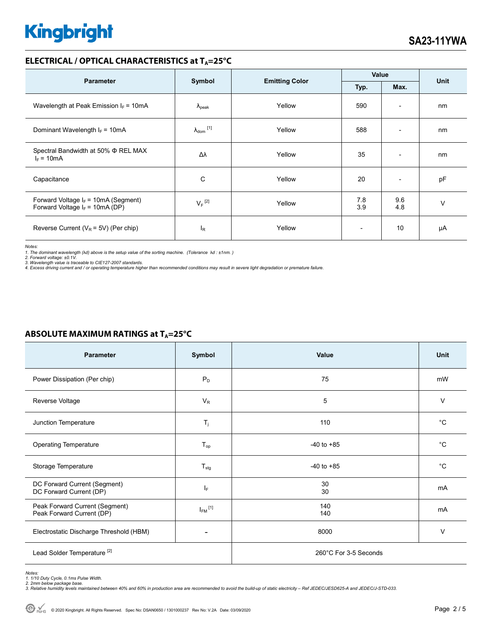### **ELECTRICAL / OPTICAL CHARACTERISTICS at T<sub>A</sub>=25°C**

| <b>Parameter</b>                                                            | Symbol               | <b>Emitting Color</b> | Value                    |                          | <b>Unit</b> |
|-----------------------------------------------------------------------------|----------------------|-----------------------|--------------------------|--------------------------|-------------|
|                                                                             |                      |                       | Typ.                     | Max.                     |             |
| Wavelength at Peak Emission $I_F = 10mA$                                    | $\Lambda_{\rm peak}$ | Yellow                | 590                      | $\overline{\phantom{a}}$ | nm          |
| Dominant Wavelength $I_F = 10mA$                                            | $\lambda_{dom}$ [1]  | Yellow                | 588                      | $\overline{\phantom{0}}$ | nm          |
| Spectral Bandwidth at 50% Φ REL MAX<br>$I_F = 10mA$                         | Δλ                   | Yellow                | 35                       | $\overline{\phantom{a}}$ | nm          |
| Capacitance                                                                 | C                    | Yellow                | 20                       | $\overline{\phantom{a}}$ | pF          |
| Forward Voltage $I_F$ = 10mA (Segment)<br>Forward Voltage $I_F$ = 10mA (DP) | $V_F$ <sup>[2]</sup> | Yellow                | 7.8<br>3.9               | 9.6<br>4.8               | $\vee$      |
| Reverse Current ( $V_R$ = 5V) (Per chip)                                    | <sup>I</sup> R       | Yellow                | $\overline{\phantom{a}}$ | 10                       | μA          |

*Notes:* 

1. The dominant wavelength (λd) above is the setup value of the sorting machine. (Tolerance λd : ±1nm. )<br>2. Forward voltage: ±0.1V.<br>3. Wavelength value is traceable to CIE127-2007 standards.<br>4. Excess driving current and

### **ABSOLUTE MAXIMUM RATINGS at T<sub>A</sub>=25°C**

| <b>Parameter</b>                                            | Symbol                  | Value                 | Unit        |  |
|-------------------------------------------------------------|-------------------------|-----------------------|-------------|--|
| Power Dissipation (Per chip)                                | $P_D$                   | 75                    | mW          |  |
| Reverse Voltage                                             | $V_R$                   | 5                     | V           |  |
| Junction Temperature                                        | $T_{j}$                 | 110                   | $^{\circ}C$ |  |
| <b>Operating Temperature</b>                                | $T_{op}$                | $-40$ to $+85$        | $^{\circ}C$ |  |
| Storage Temperature                                         | $T_{\text{stg}}$        | $-40$ to $+85$        | $^{\circ}C$ |  |
| DC Forward Current (Segment)<br>DC Forward Current (DP)     | ΙF                      | 30<br>30              | mA          |  |
| Peak Forward Current (Segment)<br>Peak Forward Current (DP) | $I_{FM}$ <sup>[1]</sup> | 140<br>140            | mA          |  |
| Electrostatic Discharge Threshold (HBM)                     |                         | 8000                  | V           |  |
| Lead Solder Temperature <sup>[2]</sup>                      |                         | 260°C For 3-5 Seconds |             |  |

Notes:<br>1. 1/10 Duty Cycle, 0.1ms Pulse Width.<br>2. 2mm below package base.<br>3. Relative humidity levels maintained between 40% and 60% in production area are recommended to avoid the build-up of static electricity – Ref JEDEC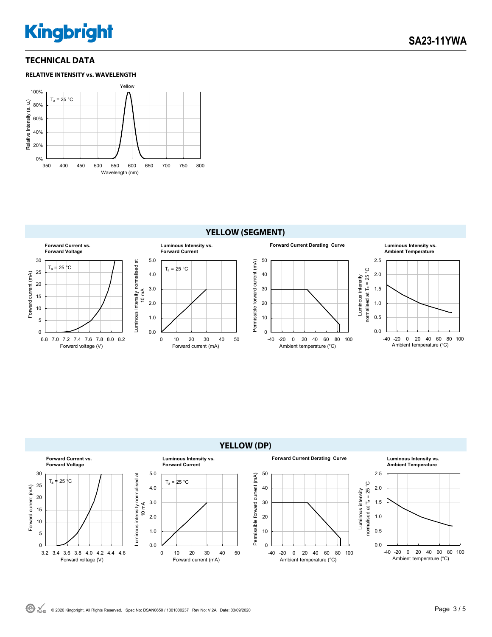### **TECHNICAL DATA**





### **YELLOW (DP)**

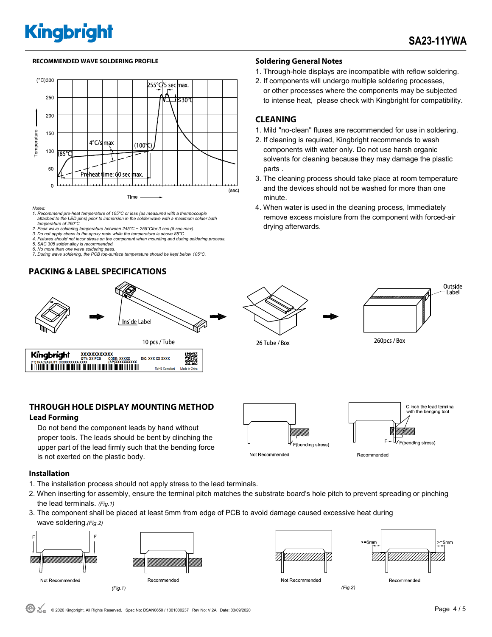#### **RECOMMENDED WAVE SOLDERING PROFILE Soldering General Notes**



*Notes:* 

- *1. Recommend pre-heat temperature of 105°C or less (as measured with a thermocouple attached to the LED pins) prior to immersion in the solder wave with a maximum solder bath temperature of 260°C*
- *2. Peak wave soldering temperature between 245°C ~ 255°Cfor 3 sec (5 sec max).*
- 2. Pean wave soluting temperature settlement is to the experimental of  $25^{\circ}$ C. **3.** Do not apply stress to the epoxy resin while the temperature is above 85°C. *4. Fixtures should not incur stress on the component when mounting and during soldering process.*
- *5. SAC 305 solder alloy is recommended.*
- 
- *6. No more than one wave soldering pass. 7. During wave soldering, the PCB top-surface temperature should be kept below 105°C.*

### **PACKING & LABEL SPECIFICATIONS**



### **THROUGH HOLE DISPLAY MOUNTING METHOD**

#### **Lead Forming**

 Do not bend the component leads by hand without proper tools. The leads should be bent by clinching the upper part of the lead firmly such that the bending force is not exerted on the plastic body.

- 1. Through-hole displays are incompatible with reflow soldering.
- 2. If components will undergo multiple soldering processes, or other processes where the components may be subjected to intense heat, please check with Kingbright for compatibility.

### **CLEANING**

- 1. Mild "no-clean" fluxes are recommended for use in soldering.
- 2. If cleaning is required, Kingbright recommends to wash components with water only. Do not use harsh organic solvents for cleaning because they may damage the plastic parts .
- 3. The cleaning process should take place at room temperature and the devices should not be washed for more than one minute.
- 4. When water is used in the cleaning process, Immediately remove excess moisture from the component with forced-air drying afterwards.





26 Tube / Box



**Installation** 

- 1. The installation process should not apply stress to the lead terminals.
- 2. When inserting for assembly, ensure the terminal pitch matches the substrate board's hole pitch to prevent spreading or pinching the lead terminals. *(Fig.1)*
- 3. The component shall be placed at least 5mm from edge of PCB to avoid damage caused excessive heat during wave soldering.*(Fig.2)*









 $(Fig.2)$